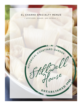# EL CHARRO SPECIALTY MENUS

· APPETIZERS, DINNER, AND ENTRÉES .

COURTYARD GARDEN

Care

ESTABLISHED AND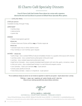# El Charro Café Specialty Dinners

 *From El Charro Café Chef Carlotta Flores infuses her cuisine with a signature blend of the best and local flavors to present at Stillwell House Specialty Menu options.*

# $\blacksquare$  CATALINA MENU  $\blacksquare$

# 27.95 per person

Available Sunday through Friday

# APPETIZER\*

- tortilla chips
- salsa picante
- queso dip

### DINNEr

• fiesta mixed greens garnish

### *choose one;*

• frijoles charros v, frijoles refritos veg or frijoles negros v

### *choose one;*

- sonoran-style rice or white cilantro rice v
- flour tortillas or corn tortillas upon request

# ENTRÉE - *choose one;*

- pollo tinga slow cooked 100% all natural shredded chicken in a guajillo chile sauce with chorizo
- carnitas verde slow cooked hand pulled green chile pork roast
- carnitas slow cooked seasoned pulled pork roast
- beef birria Colorado slow cooked shredded beef brisket with red chile, garlic, cinnamon, clove
- chile con carne slow cooked beef brisket in a red chile and oregano sauce
- corn tamales fresh corn tamales veg 2 per person
- prickly pear jackfruit birria v
- Hola Hemp tamales classic or chipotle v 2 per person

*\*For an additional charge per person we can include an appetizer or salad for your guests - inquire about menu + pricing*

*\*Offering v = vegan, veg = vegetarian, gf = gluten friendly, and df = dairy free Please let your catering specialist know about dietary restrictions* 

8*HtG*well<br>40ase

# stillwell house HISTORICAL COURTYARD GARDEN, PREMIER EVENTS

*Venue; 134 South 5th Avenue, Tucson, AZ 85701 Mailing; P.O. Box 1203, Tucson, AZ 85702 P. +1 520 623 9123 E. events@stillwellhouse.com*

*\*Consuming raw or undercooked meats, poultry, seafood, shellfish or eggs may increase your risk of foodborne illnesses, especially if you have certain medical conditions.*